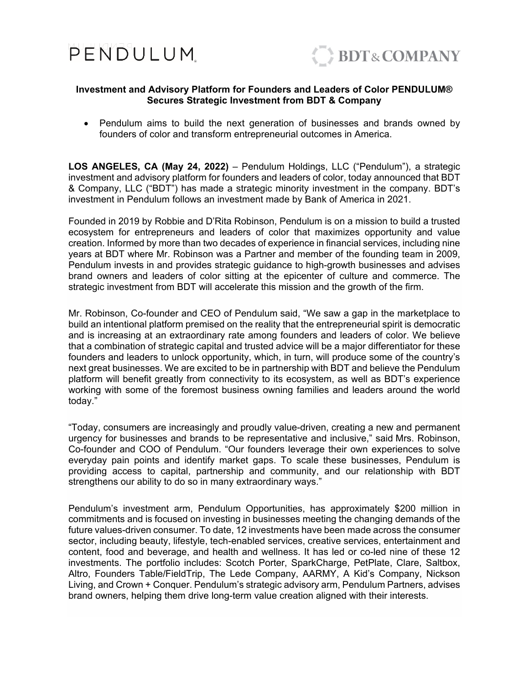



## **Investment and Advisory Platform for Founders and Leaders of Color PENDULUM® Secures Strategic Investment from BDT & Company**

 Pendulum aims to build the next generation of businesses and brands owned by founders of color and transform entrepreneurial outcomes in America.

**LOS ANGELES, CA (May 24, 2022)** – Pendulum Holdings, LLC ("Pendulum"), a strategic investment and advisory platform for founders and leaders of color, today announced that BDT & Company, LLC ("BDT") has made a strategic minority investment in the company. BDT's investment in Pendulum follows an investment made by Bank of America in 2021.

Founded in 2019 by Robbie and D'Rita Robinson, Pendulum is on a mission to build a trusted ecosystem for entrepreneurs and leaders of color that maximizes opportunity and value creation. Informed by more than two decades of experience in financial services, including nine years at BDT where Mr. Robinson was a Partner and member of the founding team in 2009, Pendulum invests in and provides strategic guidance to high-growth businesses and advises brand owners and leaders of color sitting at the epicenter of culture and commerce. The strategic investment from BDT will accelerate this mission and the growth of the firm.

Mr. Robinson, Co-founder and CEO of Pendulum said, "We saw a gap in the marketplace to build an intentional platform premised on the reality that the entrepreneurial spirit is democratic and is increasing at an extraordinary rate among founders and leaders of color. We believe that a combination of strategic capital and trusted advice will be a major differentiator for these founders and leaders to unlock opportunity, which, in turn, will produce some of the country's next great businesses. We are excited to be in partnership with BDT and believe the Pendulum platform will benefit greatly from connectivity to its ecosystem, as well as BDT's experience working with some of the foremost business owning families and leaders around the world today."

"Today, consumers are increasingly and proudly value-driven, creating a new and permanent urgency for businesses and brands to be representative and inclusive," said Mrs. Robinson, Co-founder and COO of Pendulum. "Our founders leverage their own experiences to solve everyday pain points and identify market gaps. To scale these businesses, Pendulum is providing access to capital, partnership and community, and our relationship with BDT strengthens our ability to do so in many extraordinary ways."

Pendulum's investment arm, Pendulum Opportunities, has approximately \$200 million in commitments and is focused on investing in businesses meeting the changing demands of the future values-driven consumer. To date, 12 investments have been made across the consumer sector, including beauty, lifestyle, tech-enabled services, creative services, entertainment and content, food and beverage, and health and wellness. It has led or co-led nine of these 12 investments. The portfolio includes: Scotch Porter, SparkCharge, PetPlate, Clare, Saltbox, Altro, Founders Table/FieldTrip, The Lede Company, AARMY, A Kid's Company, Nickson Living, and Crown + Conquer. Pendulum's strategic advisory arm, Pendulum Partners, advises brand owners, helping them drive long-term value creation aligned with their interests.